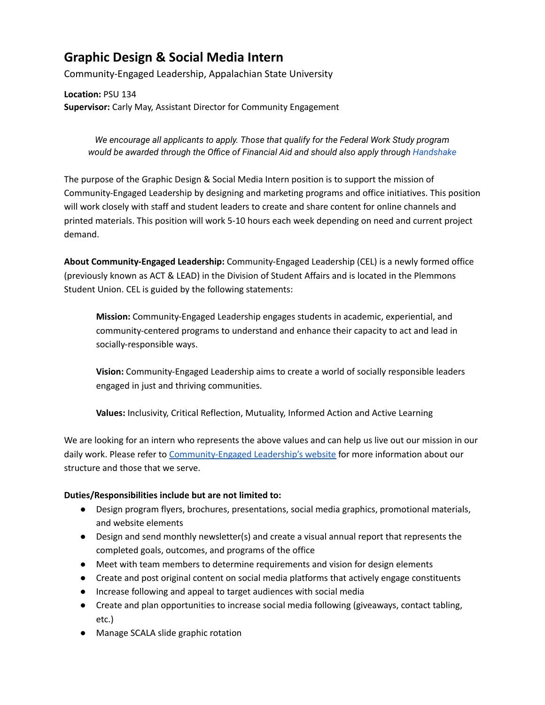## **Graphic Design & Social Media Intern**

Community-Engaged Leadership, Appalachian State University

**Location:** PSU 134 **Supervisor:** Carly May, Assistant Director for Community Engagement

*We encourage all applicants to apply. Those that qualify for the Federal Work Study program would be awarded through the Office of Financial Aid and should also apply through [Handshake](https://app.joinhandshake.com/)*

The purpose of the Graphic Design & Social Media Intern position is to support the mission of Community-Engaged Leadership by designing and marketing programs and office initiatives. This position will work closely with staff and student leaders to create and share content for online channels and printed materials. This position will work 5-10 hours each week depending on need and current project demand.

**About Community-Engaged Leadership:** Community-Engaged Leadership (CEL) is a newly formed office (previously known as ACT & LEAD) in the Division of Student Affairs and is located in the Plemmons Student Union. CEL is guided by the following statements:

**Mission:** Community-Engaged Leadership engages students in academic, experiential, and community-centered programs to understand and enhance their capacity to act and lead in socially-responsible ways.

**Vision:** Community-Engaged Leadership aims to create a world of socially responsible leaders engaged in just and thriving communities.

**Values:** Inclusivity, Critical Reflection, Mutuality, Informed Action and Active Learning

We are looking for an intern who represents the above values and can help us live out our mission in our daily work. Please refer to [Community-Engaged](https://cel.appstate.edu/) Leadership's website for more information about our structure and those that we serve.

## **Duties/Responsibilities include but are not limited to:**

- Design program flyers, brochures, presentations, social media graphics, promotional materials, and website elements
- Design and send monthly newsletter(s) and create a visual annual report that represents the completed goals, outcomes, and programs of the office
- Meet with team members to determine requirements and vision for design elements
- Create and post original content on social media platforms that actively engage constituents
- Increase following and appeal to target audiences with social media
- Create and plan opportunities to increase social media following (giveaways, contact tabling, etc.)
- Manage SCALA slide graphic rotation